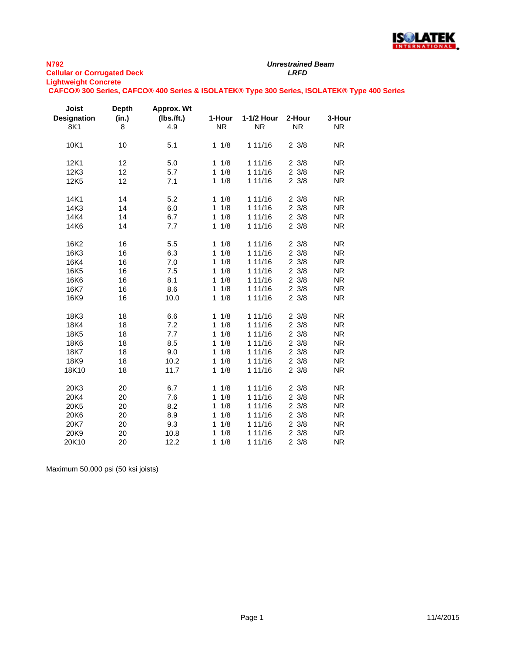

# *Unrestrained Beam*

**CAFCO® 300 Series, CAFCO® 400 Series & ISOLATEK® Type 300 Series, ISOLATEK® Type 400 Series**

| Joist<br><b>Designation</b><br>8K1 | <b>Depth</b><br>(in.)<br>8 | Approx. Wt<br>$(lbs.$ /ft.)<br>4.9 | 1-Hour<br><b>NR</b> | 1-1/2 Hour<br><b>NR</b> | 2-Hour<br><b>NR</b> | 3-Hour<br><b>NR</b> |
|------------------------------------|----------------------------|------------------------------------|---------------------|-------------------------|---------------------|---------------------|
| 10K1                               | 10                         | 5.1                                | 1/8<br>$\mathbf{1}$ | 1 11/16                 | $2 \frac{3}{8}$     | <b>NR</b>           |
| 12K1                               | 12                         | 5.0                                | 1/8<br>1            | 1 11/16                 | $2 \frac{3}{8}$     | <b>NR</b>           |
| 12K3                               | 12                         | 5.7                                | 1/8<br>$\mathbf{1}$ | 1 11/16                 | $2 \frac{3}{8}$     | <b>NR</b>           |
| 12K5                               | 12                         | 7.1                                | 1/8<br>$\mathbf{1}$ | 1 11/16                 | $2 \frac{3}{8}$     | <b>NR</b>           |
| 14K1                               | 14                         | 5.2                                | 1/8<br>$\mathbf 1$  | 1 11/16                 | $2 \frac{3}{8}$     | <b>NR</b>           |
| 14K3                               | 14                         | 6.0                                | 1/8<br>1            | 1 11/16                 | $2 \frac{3}{8}$     | <b>NR</b>           |
| 14K4                               | 14                         | 6.7                                | 1/8<br>$\mathbf{1}$ | 1 11/16                 | $2 \frac{3}{8}$     | <b>NR</b>           |
| 14K6                               | 14                         | 7.7                                | 1/8<br>$\mathbf{1}$ | 1 11/16                 | $2 \frac{3}{8}$     | <b>NR</b>           |
| 16K2                               | 16                         | 5.5                                | 1/8<br>$\mathbf{1}$ | 1 11/16                 | $2 \frac{3}{8}$     | <b>NR</b>           |
| 16K3                               | 16                         | 6.3                                | 1/8<br>$\mathbf{1}$ | 1 11/16                 | $2 \frac{3}{8}$     | <b>NR</b>           |
| 16K4                               | 16                         | 7.0                                | 1/8<br>1            | 1 11/16                 | $2 \frac{3}{8}$     | <b>NR</b>           |
| 16K <sub>5</sub>                   | 16                         | 7.5                                | 1/8<br>1            | 1 11/16                 | $2 \frac{3}{8}$     | <b>NR</b>           |
| 16K6                               | 16                         | 8.1                                | 1/8<br>1            | 1 11/16                 | $2 \frac{3}{8}$     | <b>NR</b>           |
| 16K7                               | 16                         | 8.6                                | 1/8<br>$\mathbf{1}$ | 1 11/16                 | $2 \frac{3}{8}$     | <b>NR</b>           |
| 16K9                               | 16                         | 10.0                               | $1 \t1/8$           | 1 11/16                 | $2 \frac{3}{8}$     | <b>NR</b>           |
| 18K3                               | 18                         | 6.6                                | 11/8                | 1 11/16                 | $2 \frac{3}{8}$     | <b>NR</b>           |
| 18K4                               | 18                         | 7.2                                | 1/8<br>1            | 1 11/16                 | $2 \frac{3}{8}$     | <b>NR</b>           |
| 18K5                               | 18                         | 7.7                                | 1/8<br>$\mathbf{1}$ | 1 11/16                 | $2 \frac{3}{8}$     | <b>NR</b>           |
| 18K6                               | 18                         | 8.5                                | 1/8<br>1            | 1 11/16                 | $2 \frac{3}{8}$     | <b>NR</b>           |
| 18K7                               | 18                         | 9.0                                | 1/8<br>$\mathbf{1}$ | 1 11/16                 | $2 \frac{3}{8}$     | <b>NR</b>           |
| 18K9                               | 18                         | 10.2                               | 1/8<br>1            | 1 11/16                 | $2 \frac{3}{8}$     | <b>NR</b>           |
| 18K10                              | 18                         | 11.7                               | 1/8<br>$\mathbf{1}$ | 1 11/16                 | $2 \frac{3}{8}$     | <b>NR</b>           |
| 20K3                               | 20                         | 6.7                                | 1/8<br>1            | 1 11/16                 | $2 \frac{3}{8}$     | <b>NR</b>           |
| 20K4                               | 20                         | 7.6                                | 1/8<br>$\mathbf{1}$ | 1 11/16                 | $2 \frac{3}{8}$     | <b>NR</b>           |
| 20K5                               | 20                         | 8.2                                | 1/8<br>1            | 1 11/16                 | $2 \frac{3}{8}$     | <b>NR</b>           |
| 20K6                               | 20                         | 8.9                                | 1/8<br>$\mathbf{1}$ | 1 11/16                 | $2 \frac{3}{8}$     | <b>NR</b>           |
| 20K7                               | 20                         | 9.3                                | 1/8<br>1            | 1 11/16                 | $2 \frac{3}{8}$     | <b>NR</b>           |
| 20K9                               | 20                         | 10.8                               | 1/8<br>$\mathbf{1}$ | 1 11/16                 | $2 \frac{3}{8}$     | <b>NR</b>           |
| 20K10                              | 20                         | 12.2                               | $\mathbf{1}$<br>1/8 | 1 11/16                 | 23/8                | <b>NR</b>           |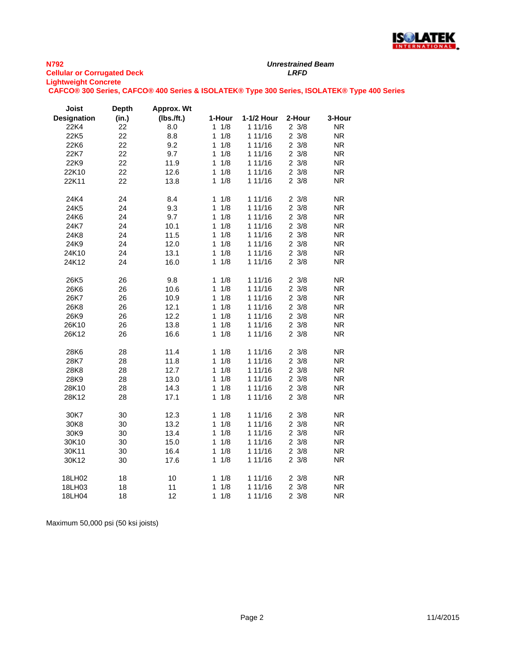

#### **N792 Cellular or Corrugated Deck** *LRFD* **Lightweight Concrete CAFCO® 300 Series, CAFCO® 400 Series & ISOLATEK® Type 300 Series, ISOLATEK® Type 400 Series**

| <b>Joist</b>       | <b>Depth</b> | Approx. Wt |                     |            |                 |           |
|--------------------|--------------|------------|---------------------|------------|-----------------|-----------|
| <b>Designation</b> | (in.)        | (Ibs./ft.) | 1-Hour              | 1-1/2 Hour | 2-Hour          | 3-Hour    |
| 22K4               | 22           | 8.0        | $1 \t1/8$           | 1 11/16    | $2 \frac{3}{8}$ | <b>NR</b> |
| 22K5               | 22           | 8.8        | $1 \t1/8$           | 1 11/16    | $2 \frac{3}{8}$ | <b>NR</b> |
| 22K6               | 22           | 9.2        | $1 \t1/8$           | 1 11/16    | $2 \frac{3}{8}$ | <b>NR</b> |
| 22K7               | 22           | 9.7        | $1 \t1/8$           | 1 11/16    | $2 \frac{3}{8}$ | <b>NR</b> |
| 22K9               | 22           | 11.9       | $1 \t1/8$           | 1 11/16    | $2 \frac{3}{8}$ | <b>NR</b> |
| 22K10              | 22           | 12.6       | $1 \t1/8$           | 1 11/16    | $2 \frac{3}{8}$ | <b>NR</b> |
| 22K11              | 22           | 13.8       | $1 \t1/8$           | 1 11/16    | $2 \frac{3}{8}$ | <b>NR</b> |
| 24K4               | 24           | 8.4        | 11/8                | 1 11/16    | $2 \frac{3}{8}$ | <b>NR</b> |
| 24K5               | 24           | 9.3        | 1/8<br>$\mathbf{1}$ | 1 11/16    | $2 \frac{3}{8}$ | <b>NR</b> |
| 24K6               | 24           | 9.7        | $1 \t1/8$           | 1 11/16    | $2 \frac{3}{8}$ | <b>NR</b> |
| 24K7               | 24           | 10.1       | $1 \t1/8$           | 1 11/16    | $2 \frac{3}{8}$ | <b>NR</b> |
| 24K8               | 24           | 11.5       | 1/8<br>1            | 1 11/16    | $2 \frac{3}{8}$ | <b>NR</b> |
| 24K9               | 24           | 12.0       | 1/8<br>$\mathbf 1$  | 1 11/16    | $2 \frac{3}{8}$ | <b>NR</b> |
| 24K10              | 24           | 13.1       | $1 \t1/8$           | 1 11/16    | $2 \frac{3}{8}$ | <b>NR</b> |
| 24K12              | 24           | 16.0       | $1 \t1/8$           | 1 11/16    | $2 \frac{3}{8}$ | <b>NR</b> |
| 26K <sub>5</sub>   | 26           | 9.8        | $1 \t1/8$           | 1 11/16    | $2 \frac{3}{8}$ | <b>NR</b> |
| 26K6               | 26           | 10.6       | $1 \t1/8$           | 1 11/16    | $2 \frac{3}{8}$ | <b>NR</b> |
| 26K7               | 26           | 10.9       | 1/8<br>1            | 1 11/16    | $2 \frac{3}{8}$ | <b>NR</b> |
| 26K8               | 26           | 12.1       | $1 \t1/8$           | 1 11/16    | $2 \frac{3}{8}$ | <b>NR</b> |
| 26K9               | 26           | 12.2       | $1 \t1/8$           | 1 11/16    | $2 \frac{3}{8}$ | <b>NR</b> |
| 26K10              | 26           | 13.8       | $1 \t1/8$           | 1 11/16    | $2 \frac{3}{8}$ | <b>NR</b> |
| 26K12              | 26           | 16.6       | $1 \t1/8$           | 1 11/16    | $2 \frac{3}{8}$ | <b>NR</b> |
| 28K6               | 28           | 11.4       | $1 \t1/8$           | 1 11/16    | $2 \frac{3}{8}$ | <b>NR</b> |
| 28K7               | 28           | 11.8       | $1 \t1/8$           | 1 11/16    | $2 \frac{3}{8}$ | <b>NR</b> |
| 28K8               | 28           | 12.7       | $1 \t1/8$           | 1 11/16    | $2 \frac{3}{8}$ | <b>NR</b> |
| 28K9               | 28           | 13.0       | 1/8<br>1.           | 1 11/16    | $2 \frac{3}{8}$ | <b>NR</b> |
| 28K10              | 28           | 14.3       | $1 \t1/8$           | 1 11/16    | $2 \frac{3}{8}$ | <b>NR</b> |
| 28K12              | 28           | 17.1       | $1 \t1/8$           | 1 11/16    | $2 \frac{3}{8}$ | <b>NR</b> |
| 30K7               | 30           | 12.3       | 1/8<br>1            | 1 11/16    | $2 \frac{3}{8}$ | <b>NR</b> |
| 30K8               | 30           | 13.2       | $1 \t1/8$           | 1 11/16    | $2 \frac{3}{8}$ | <b>NR</b> |
| 30K9               | 30           | 13.4       | $1 \t1/8$           | 1 11/16    | $2 \frac{3}{8}$ | <b>NR</b> |
| 30K10              | 30           | 15.0       | 1/8<br>$\mathbf{1}$ | 1 11/16    | $2 \frac{3}{8}$ | <b>NR</b> |
| 30K11              | 30           | 16.4       | $1 \t1/8$           | 1 11/16    | $2 \frac{3}{8}$ | <b>NR</b> |
| 30K12              | 30           | 17.6       | $1 \t1/8$           | 1 11/16    | $2 \frac{3}{8}$ | <b>NR</b> |
| 18LH02             | 18           | 10         | 1/8<br>1            | 1 11/16    | $2 \frac{3}{8}$ | <b>NR</b> |
| 18LH03             | 18           | 11         | 1/8<br>1            | 1 11/16    | $2 \frac{3}{8}$ | <b>NR</b> |
| 18LH04             | 18           | 12         | $1 \t1/8$           | 1 11/16    | $2 \frac{3}{8}$ | <b>NR</b> |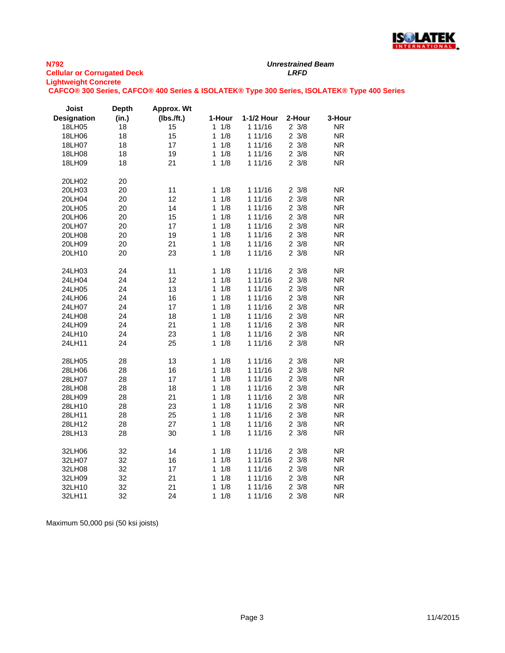

**CAFCO® 300 Series, CAFCO® 400 Series & ISOLATEK® Type 300 Series, ISOLATEK® Type 400 Series**

| <b>Joist</b>       | <b>Depth</b> | Approx. Wt |                     |            |                 |           |
|--------------------|--------------|------------|---------------------|------------|-----------------|-----------|
| <b>Designation</b> | (in.)        | (Ibs./ft.) | 1-Hour              | 1-1/2 Hour | 2-Hour          | 3-Hour    |
| 18LH05             | 18           | 15         | 11/8                | 1 11/16    | $2 \frac{3}{8}$ | ΝR        |
| 18LH06             | 18           | 15         | 1<br>1/8            | 1 11/16    | $2 \frac{3}{8}$ | <b>NR</b> |
| 18LH07             | 18           | 17         | 1/8<br>1            | 1 11/16    | $2 \frac{3}{8}$ | <b>NR</b> |
| 18LH08             | 18           | 19         | 1/8<br>1            | 1 11/16    | $2 \frac{3}{8}$ | <b>NR</b> |
| 18LH09             | 18           | 21         | 1/8<br>1.           | 1 11/16    | $2 \frac{3}{8}$ | <b>NR</b> |
| 20LH02             | 20           |            |                     |            |                 |           |
| 20LH03             | 20           | 11         | 1/8<br>$\mathbf 1$  | 1 11/16    | $2 \frac{3}{8}$ | <b>NR</b> |
| 20LH04             | 20           | 12         | 1/8<br>$\mathbf{1}$ | 1 11/16    | $2 \frac{3}{8}$ | <b>NR</b> |
| 20LH05             | 20           | 14         | 1/8<br>1            | 1 11/16    | $2 \frac{3}{8}$ | <b>NR</b> |
| 20LH06             | 20           | 15         | 1/8<br>1            | 1 11/16    | $2 \frac{3}{8}$ | <b>NR</b> |
| 20LH07             | 20           | 17         | 1/8<br>1            | 1 11/16    | $2 \frac{3}{8}$ | <b>NR</b> |
| 20LH08             | 20           | 19         | 1/8<br>$\mathbf{1}$ | 1 11/16    | $2 \frac{3}{8}$ | <b>NR</b> |
| 20LH09             | 20           | 21         | 1/8<br>1            | 1 11/16    | $2 \frac{3}{8}$ | <b>NR</b> |
| 20LH10             | 20           | 23         | 1/8<br>1            | 1 11/16    | $2 \frac{3}{8}$ | <b>NR</b> |
| 24LH03             | 24           | 11         | $1 \t1/8$           | 1 11/16    | $2 \frac{3}{8}$ | <b>NR</b> |
| 24LH04             | 24           | 12         | 1/8<br>1            | 1 11/16    | $2 \frac{3}{8}$ | <b>NR</b> |
| 24LH05             | 24           | 13         | 1/8<br>1            | 1 11/16    | $2 \frac{3}{8}$ | <b>NR</b> |
| 24LH06             | 24           | 16         | 1/8<br>1            | 1 11/16    | $2 \frac{3}{8}$ | <b>NR</b> |
| 24LH07             | 24           | 17         | 1/8<br>1            | 1 11/16    | $2 \frac{3}{8}$ | <b>NR</b> |
| 24LH08             | 24           | 18         | 1/8<br>1            | 1 11/16    | $2 \frac{3}{8}$ | <b>NR</b> |
| 24LH09             | 24           | 21         | 1/8<br>1            | 1 11/16    | $2 \frac{3}{8}$ | <b>NR</b> |
| 24LH10             | 24           | 23         | 1/8<br>1            | 1 11/16    | $2 \frac{3}{8}$ | <b>NR</b> |
| 24LH11             | 24           | 25         | 1/8<br>1            | 1 11/16    | $2 \frac{3}{8}$ | <b>NR</b> |
| 28LH05             | 28           | 13         | $1 \t1/8$           | 1 11/16    | $2 \frac{3}{8}$ | <b>NR</b> |
| 28LH06             | 28           | 16         | 1/8<br>1            | 1 11/16    | $2 \frac{3}{8}$ | <b>NR</b> |
| 28LH07             | 28           | 17         | 1/8<br>1            | 1 11/16    | $2 \frac{3}{8}$ | <b>NR</b> |
| 28LH08             | 28           | 18         | 1/8<br>1            | 1 11/16    | $2 \frac{3}{8}$ | <b>NR</b> |
| 28LH09             | 28           | 21         | 1<br>1/8            | 1 11/16    | $2 \frac{3}{8}$ | <b>NR</b> |
| 28LH10             | 28           | 23         | 1/8<br>1            | 1 11/16    | $2 \frac{3}{8}$ | <b>NR</b> |
| 28LH11             | 28           | 25         | 1/8<br>1            | 1 11/16    | $2 \frac{3}{8}$ | <b>NR</b> |
| 28LH12             | 28           | 27         | 1/8<br>1            | 1 11/16    | $2 \frac{3}{8}$ | <b>NR</b> |
| 28LH13             | 28           | 30         | 1/8<br>1            | 1 11/16    | $2 \frac{3}{8}$ | <b>NR</b> |
| 32LH06             | 32           | 14         | $1 \t1/8$           | 1 11/16    | $2 \frac{3}{8}$ | <b>NR</b> |
| 32LH07             | 32           | 16         | 1/8<br>1            | 1 11/16    | $2 \frac{3}{8}$ | <b>NR</b> |
| 32LH08             | 32           | 17         | 1/8<br>1            | 1 11/16    | $2 \frac{3}{8}$ | <b>NR</b> |
| 32LH09             | 32           | 21         | 1/8<br>1            | 1 11/16    | $2 \frac{3}{8}$ | <b>NR</b> |
| 32LH10             | 32           | 21         | 1/8<br>1            | 1 11/16    | $2 \frac{3}{8}$ | <b>NR</b> |
| 32LH11             | 32           | 24         | 1/8<br>1            | 1 11/16    | 23/8            | <b>NR</b> |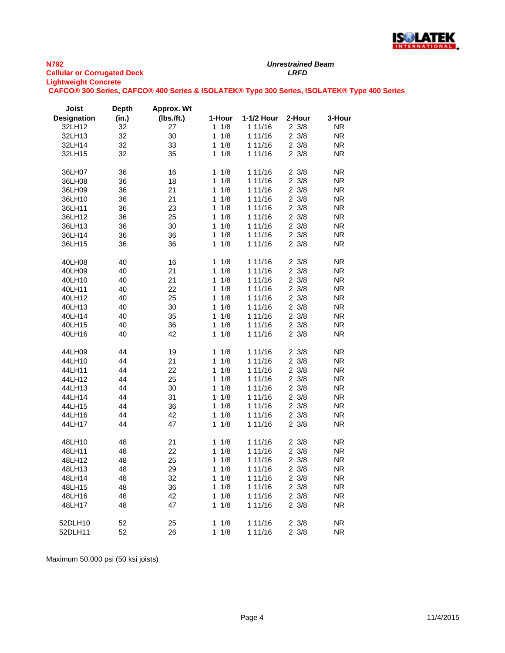

*Unrestrained Beam*

**CAFCO® 300 Series, CAFCO® 400 Series & ISOLATEK® Type 300 Series, ISOLATEK® Type 400 Series**

| Joist              | <b>Depth</b> | Approx. Wt |                     |            |                 |           |
|--------------------|--------------|------------|---------------------|------------|-----------------|-----------|
| <b>Designation</b> | (in.)        | (lbs.ft.)  | 1-Hour              | 1-1/2 Hour | 2-Hour          | 3-Hour    |
| 32LH12             | 32           | 27         | $1 \t1/8$           | 1 11/16    | $2 \frac{3}{8}$ | ΝR        |
| 32LH13             | 32           | 30         | 1<br>1/8            | 1 11/16    | $2 \frac{3}{8}$ | <b>NR</b> |
| 32LH14             | 32           | 33         | 1/8<br>1            | 1 11/16    | $2 \frac{3}{8}$ | <b>NR</b> |
| 32LH15             | 32           | 35         | $1 \t1/8$           | 1 11/16    | $2 \frac{3}{8}$ | <b>NR</b> |
|                    |              |            |                     |            |                 |           |
| 36LH07             | 36           | 16         | $1 \t1/8$           | 1 11/16    | $2 \frac{3}{8}$ | <b>NR</b> |
| 36LH08             | 36           | 18         | 1/8<br>1            | 1 11/16    | $2 \frac{3}{8}$ | <b>NR</b> |
| 36LH09             | 36           | 21         | 1/8<br>1            | 1 11/16    | $2 \frac{3}{8}$ | <b>NR</b> |
| 36LH10             | 36           | 21         | 1<br>1/8            | 1 11/16    | $2 \frac{3}{8}$ | <b>NR</b> |
|                    |              | 23         | 1<br>1/8            | 1 11/16    | $2 \frac{3}{8}$ | <b>NR</b> |
| 36LH11             | 36           |            | 1                   |            | $2 \frac{3}{8}$ |           |
| 36LH12             | 36           | 25         | 1/8                 | 1 11/16    |                 | <b>NR</b> |
| 36LH13             | 36           | 30         | 1/8<br>1            | 1 11/16    | $2 \frac{3}{8}$ | <b>NR</b> |
| 36LH14             | 36           | 36         | 1/8<br>1            | 1 11/16    | $2 \frac{3}{8}$ | <b>NR</b> |
| 36LH15             | 36           | 36         | 1/8<br>1            | 1 11/16    | $2 \frac{3}{8}$ | <b>NR</b> |
|                    |              |            |                     |            |                 |           |
| 40LH08             | 40           | 16         | 1<br>1/8            | 1 11/16    | $2 \frac{3}{8}$ | <b>NR</b> |
| 40LH09             | 40           | 21         | 1/8<br>1            | 1 11/16    | $2 \frac{3}{8}$ | <b>NR</b> |
| 40LH10             | 40           | 21         | 1<br>1/8            | 1 11/16    | $2 \frac{3}{8}$ | <b>NR</b> |
| 40LH11             | 40           | 22         | 1<br>1/8            | 1 11/16    | $2 \frac{3}{8}$ | <b>NR</b> |
| 40LH12             | 40           | 25         | 1<br>1/8            | 1 11/16    | $2 \frac{3}{8}$ | <b>NR</b> |
| 40LH13             | 40           | 30         | 1/8<br>1            | 1 11/16    | $2 \frac{3}{8}$ | <b>NR</b> |
| 40LH14             | 40           | 35         | 1/8<br>1            | 1 11/16    | $2 \frac{3}{8}$ | <b>NR</b> |
| 40LH15             | 40           | 36         | 1<br>1/8            | 1 11/16    | $2 \frac{3}{8}$ | <b>NR</b> |
| 40LH16             | 40           | 42         | 1/8<br>1            | 1 11/16    | $2 \frac{3}{8}$ | <b>NR</b> |
|                    |              |            |                     |            |                 |           |
| 44LH09             | 44           | 19         | 1<br>1/8            | 1 11/16    | $2 \frac{3}{8}$ | <b>NR</b> |
| 44LH10             | 44           | 21         | 1/8<br>1            | 1 11/16    | $2 \frac{3}{8}$ | <b>NR</b> |
| 44LH11             | 44           | 22         | 1/8<br>1            | 1 11/16    | $2 \frac{3}{8}$ | <b>NR</b> |
| 44LH12             | 44           | 25         | 1/8<br>1            | 1 11/16    | $2 \frac{3}{8}$ | NR.       |
| 44LH13             | 44           | 30         | 1/8<br>1            | 1 11/16    | $2 \frac{3}{8}$ | <b>NR</b> |
| 44LH14             | 44           | 31         | 1/8<br>1            | 1 11/16    | $2 \frac{3}{8}$ | <b>NR</b> |
| 44LH15             | 44           | 36         | 1<br>1/8            | 1 11/16    | $2 \frac{3}{8}$ | NR.       |
| 44LH16             | 44           | 42         | 1/8<br>1            | 1 11/16    | $2 \frac{3}{8}$ | <b>NR</b> |
| 44LH17             | 44           | 47         | $\mathbf 1$<br>1/8  | 1 11/16    | $2 \frac{3}{8}$ | <b>NR</b> |
|                    |              |            |                     |            |                 |           |
| 48LH10             | 48           | 21         | 1<br>1/8            | 1 11/16    | $2 \frac{3}{8}$ | ΝR        |
| 48LH11             | 48           | 22         | 1/8<br>1            | 1 11/16    | $2 \frac{3}{8}$ | <b>NR</b> |
| 48LH12             | 48           | 25         | 1/8<br>1            | 1 11/16    | $2 \frac{3}{8}$ | <b>NR</b> |
| 48LH13             | 48           | 29         | 1/8<br>1            | 1 11/16    | $2 \frac{3}{8}$ | <b>NR</b> |
| 48LH14             | 48           | 32         | 1/8<br>1            | 1 11/16    | $2 \frac{3}{8}$ | <b>NR</b> |
| 48LH15             | 48           | 36         | 1<br>1/8            | 1 11/16    | $2 \frac{3}{8}$ | <b>NR</b> |
| 48LH16             | 48           | 42         | 1/8<br>1            | 1 11/16    | $2 \frac{3}{8}$ | <b>NR</b> |
| 48LH17             | 48           | 47         | $1 \t1/8$           | 1 11/16    | $2 \frac{3}{8}$ | <b>NR</b> |
|                    |              |            |                     |            |                 |           |
| 52DLH10            | 52           | 25         | 1<br>1/8            | 1 11/16    | $2 \frac{3}{8}$ | ΝR        |
|                    | 52           | 26         | $\mathbf{1}$<br>1/8 |            | $2 \frac{3}{8}$ |           |
| 52DLH11            |              |            |                     | 1 11/16    |                 | ΝR        |